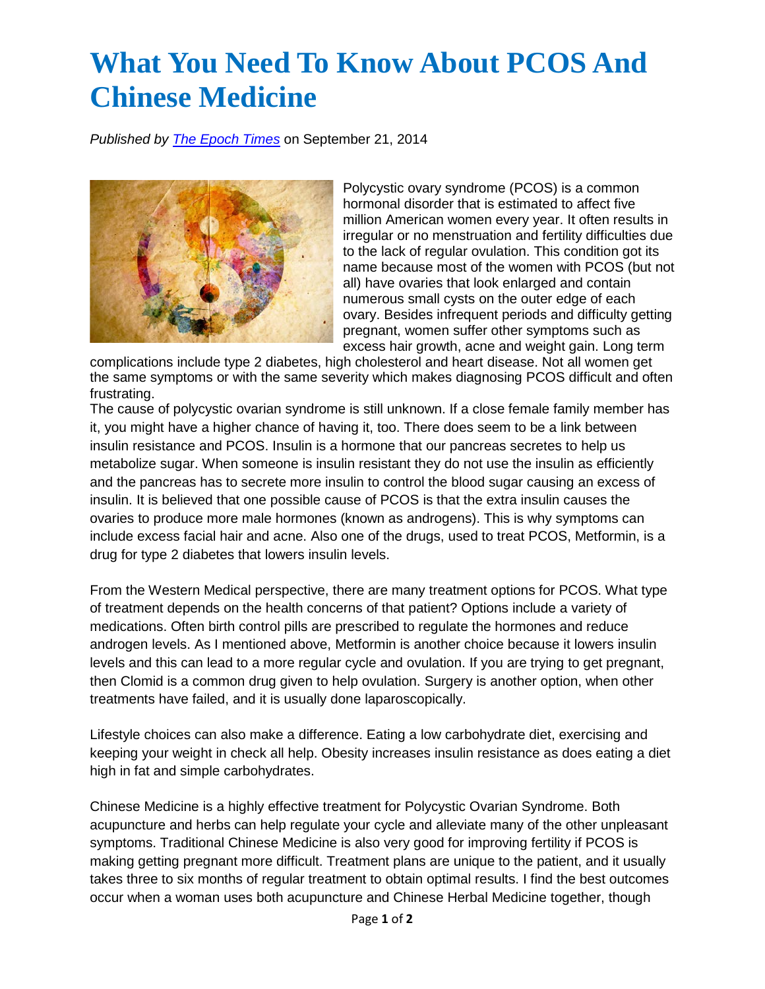## **What You Need To Know About PCOS And Chinese Medicine**

*Published by [The Epoch Times](mailto:ml-acupuncture@sbcglobal.net)* on September 21, 2014



Polycystic ovary syndrome (PCOS) is a common hormonal disorder that is estimated to affect five million American women every year. It often results in irregular or no menstruation and fertility difficulties due to the lack of regular ovulation. This condition got its name because most of the women with PCOS (but not all) have ovaries that look enlarged and contain numerous small cysts on the outer edge of each ovary. Besides infrequent periods and difficulty getting pregnant, women suffer other symptoms such as excess hair growth, acne and weight gain. Long term

complications include type 2 diabetes, high cholesterol and heart disease. Not all women get the same symptoms or with the same severity which makes diagnosing PCOS difficult and often frustrating.

The cause of polycystic ovarian syndrome is still unknown. If a close female family member has it, you might have a higher chance of having it, too. There does seem to be a link between insulin resistance and PCOS. Insulin is a hormone that our pancreas secretes to help us metabolize sugar. When someone is insulin resistant they do not use the insulin as efficiently and the pancreas has to secrete more insulin to control the blood sugar causing an excess of insulin. It is believed that one possible cause of PCOS is that the extra insulin causes the ovaries to produce more male hormones (known as androgens). This is why symptoms can include excess facial hair and acne. Also one of the drugs, used to treat PCOS, Metformin, is a drug for type 2 diabetes that lowers insulin levels.

From the Western Medical perspective, there are many treatment options for PCOS. What type of treatment depends on the health concerns of that patient? Options include a variety of medications. Often birth control pills are prescribed to regulate the hormones and reduce androgen levels. As I mentioned above, Metformin is another choice because it lowers insulin levels and this can lead to a more regular cycle and ovulation. If you are trying to get pregnant, then Clomid is a common drug given to help ovulation. Surgery is another option, when other treatments have failed, and it is usually done laparoscopically.

Lifestyle choices can also make a difference. Eating a low carbohydrate diet, exercising and keeping your weight in check all help. Obesity increases insulin resistance as does eating a diet high in fat and simple carbohydrates.

Chinese Medicine is a highly effective treatment for Polycystic Ovarian Syndrome. Both acupuncture and herbs can help regulate your cycle and alleviate many of the other unpleasant symptoms. Traditional Chinese Medicine is also very good for improving fertility if PCOS is making getting pregnant more difficult. Treatment plans are unique to the patient, and it usually takes three to six months of regular treatment to obtain optimal results. I find the best outcomes occur when a woman uses both acupuncture and Chinese Herbal Medicine together, though